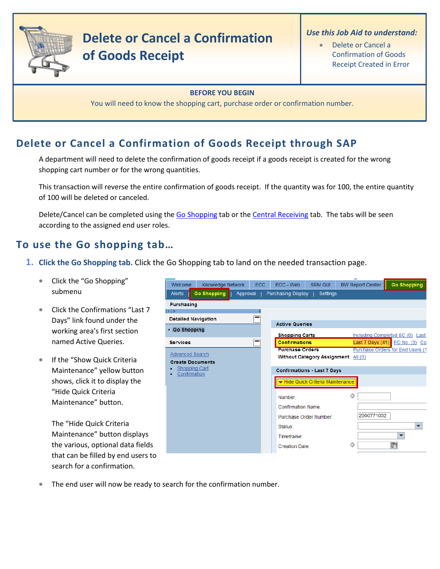

# **Delete or Cancel a Confirmation of Goods Receipt**

#### *Use this Job Aid to understand:*

• Delete or Cancel a Confirmation of Goods Receipt Created in Error

#### **BEFORE YOU BEGIN**

You will need to know the shopping cart, purchase order or confirmation number.

# **Delete or Cancel a Confirmation of Goods Receipt through SAP**

A department will need to delete the confirmation of goods receipt if a goods receipt is created for the wrong shopping cart number or for the wrong quantities.

This transaction will reverse the entire confirmation of goods receipt. If the quantity was for 100, the entire quantity of 100 will be deleted or canceled.

Delete/Cancel can be completed using th[e Go Shopping](#page-0-0) tab or th[e Central Receiving](#page-7-0) tab. The tabs will be seen according to the assigned end user roles.

# **To use the Go shopping tab…**

- <span id="page-0-0"></span>**1. Click the Go Shopping tab.** Click the Go Shopping tab to land on the needed transaction page.
	- Click the "Go Shopping" submenu
	- Click the Confirmations "Last 7 Days" link found under the working area's first section named Active Queries.
	- If the "Show Quick Criteria Maintenance" yellow button shows, click it to display the "Hide Quick Criteria Maintenance" button.

The "Hide Quick Criteria Maintenance" button displays the various, optional data fields that can be filled by end users to search for a confirmation.

| Welcome                                           | Knowledge Network  | <b>ECC</b> | ECC - Web                 | <b>SRM GUI</b>                     | <b>BW Report Center</b>             | <b>Go Shopping</b>               |
|---------------------------------------------------|--------------------|------------|---------------------------|------------------------------------|-------------------------------------|----------------------------------|
| Alerts                                            | <b>Go Shopping</b> | Approval   | Purchasing Display        | Settings                           |                                     |                                  |
| Purchasing                                        |                    |            |                           |                                    |                                     |                                  |
| 1                                                 |                    |            |                           |                                    |                                     |                                  |
| <b>Detailed Navigation</b>                        |                    |            | <b>Active Queries</b>     |                                    |                                     |                                  |
| • Go Shopping                                     |                    |            | <b>Shopping Carts</b>     |                                    |                                     | Including Completed SC (0) Last  |
| <b>Services</b>                                   |                    |            | <b>Confirmations</b>      |                                    |                                     | Last 7 Days (41) PO No. (3) Co   |
| <b>Advanced Search</b><br><b>Create Documents</b> |                    |            | <b>Purchase Orders</b>    |                                    | Without Category Assignment All (0) | Purchase Orders for End Users (1 |
| <b>Shopping Cart</b><br>Confirmation              |                    |            |                           | <b>Confirmations - Last 7 Days</b> |                                     |                                  |
|                                                   |                    |            |                           | Hide Quick Criteria Maintenance    |                                     |                                  |
|                                                   |                    |            | Number:                   |                                    | ◇                                   |                                  |
|                                                   |                    |            | <b>Confirmation Name:</b> |                                    |                                     |                                  |
|                                                   |                    |            |                           | Purchase Order Number:             | 2000771032                          |                                  |
|                                                   |                    |            | Status:                   |                                    |                                     |                                  |
|                                                   |                    |            | Timeframe:                |                                    |                                     |                                  |
|                                                   |                    |            | <b>Creation Date:</b>     |                                    | ◇                                   | G)                               |
|                                                   |                    |            |                           |                                    |                                     |                                  |

The end user will now be ready to search for the confirmation number.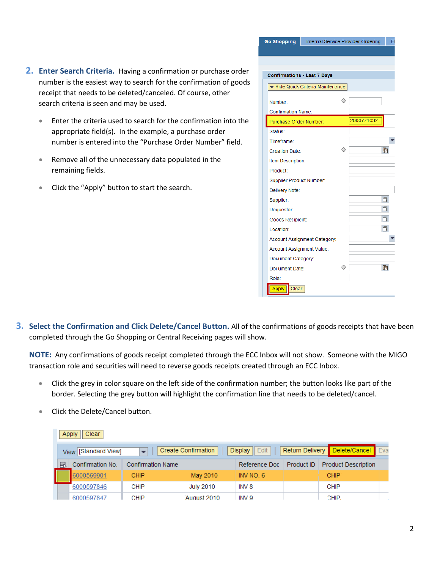- 2. Enter Search Criteria. Having a confirmation or purchase order number is the easiest way to search for the confirmation of goods receipt that needs to be deleted/canceled. Of course, other search criteria is seen and may be used.
	- Enter the criteria used to search for the confirmation into the • appropriate field(s). In the example, a purchase order number is entered into the "Purchase Order Number" field.
	- Remove all of the unnecessary data populated in the remaining fields.
	- Click the "Apply" button to start the search.

| <b>Go Shopping</b>                 |                                 |   | Internal Service Provider Ordering<br>E |
|------------------------------------|---------------------------------|---|-----------------------------------------|
|                                    |                                 |   |                                         |
|                                    |                                 |   |                                         |
| <b>Confirmations - Last 7 Days</b> |                                 |   |                                         |
|                                    | Hide Quick Criteria Maintenance |   |                                         |
| Number:                            |                                 |   |                                         |
| <b>Confirmation Name:</b>          |                                 |   |                                         |
| Purchase Order Number:             |                                 |   | 2000771032                              |
| Status:                            |                                 |   |                                         |
| Timeframe:                         |                                 |   |                                         |
| <b>Creation Date:</b>              |                                 |   | 雨                                       |
| Item Description:                  |                                 |   |                                         |
| Product:                           |                                 |   |                                         |
| Supplier Product Number:           |                                 |   |                                         |
| Delivery Note:                     |                                 |   |                                         |
| Supplier:                          |                                 |   | 问                                       |
| Requestor:                         |                                 |   | o                                       |
| Goods Recipient:                   |                                 |   | n                                       |
| Location:                          |                                 |   | n                                       |
|                                    | Account Assignment Category:    |   |                                         |
| Account Assignment Value:          |                                 |   |                                         |
| Document Category:                 |                                 |   |                                         |
| Document Date:                     |                                 | ○ | け                                       |
| Role:                              |                                 |   |                                         |
| Clear<br><b>Apply</b>              |                                 |   |                                         |

**3. Select the Confirmation and Click Delete/Cancel Button.** All of the confirmations of goods receipts that have been completed through the Go Shopping or Central Receiving pages will show.

**NOTE:** Any confirmations of goods receipt completed through the ECC Inbox will not show. Someone with the MIGO transaction role and securities will need to reverse goods receipts created through an ECC Inbox.

- Click the grey in color square on the left side of the confirmation number; the button looks like part of the border. Selecting the grey button will highlight the confirmation line that needs to be deleted/cancel.
- Click the Delete/Cancel button.

|   | Clear<br>Apply        |                          |                            |                          |                 |                            |  |  |
|---|-----------------------|--------------------------|----------------------------|--------------------------|-----------------|----------------------------|--|--|
|   | View: [Standard View] |                          | <b>Create Confirmation</b> | $Display \parallel Edit$ | Return Delivery | Delete/Cancel Eva          |  |  |
| 国 | Confirmation No.      | <b>Confirmation Name</b> |                            | Reference Doc            | Product ID      | <b>Product Description</b> |  |  |
|   | 6000569901            | CHIP                     | May 2010                   | INV NO. 6                |                 | <b>CHIP</b>                |  |  |
|   | 6000597846            | <b>CHIP</b>              | <b>July 2010</b>           | INV 8                    |                 | <b>CHIP</b>                |  |  |
|   | 6000597847            | CHIP                     | August 2010                | INV 9                    |                 | CHIP.                      |  |  |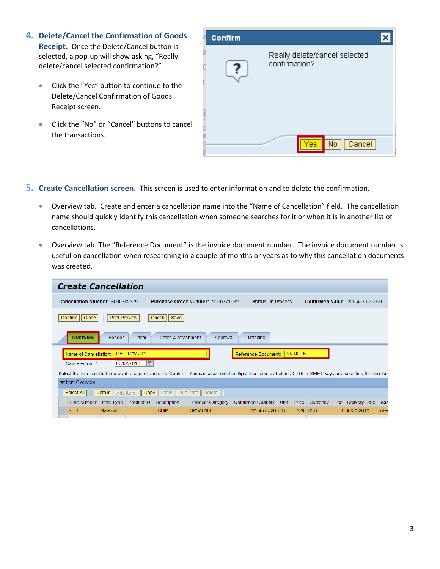- **4. Delete/Cancel the Confirmation of Goods Receipt.** Once the Delete/Cancel button is selected, a pop-up will show asking, "Really delete/cancel selected confirmation?"
	- Click the "Yes" button to continue to the Delete/Cancel Confirmation of Goods Receipt screen.
	- Click the "No" or "Cancel" buttons to cancel the transactions.



#### **5. Create Cancellation screen.** This screen is used to enter information and to delete the confirmation.

- Overview tab. Create and enter a cancellation name into the "Name of Cancellation" field. The cancellation name should quickly identify this cancellation when someone searches for it or when it is in another list of cancellations.
- Overview tab. The "Reference Document" is the invoice document number. The invoice document number is useful on cancellation when researching in a couple of months or years as to why this cancellation documents was created.

|                                | <b>Create Cancellation</b>                                           |                    |             |                                   |                                                                                                                                                                    |           |                |     |                                |       |
|--------------------------------|----------------------------------------------------------------------|--------------------|-------------|-----------------------------------|--------------------------------------------------------------------------------------------------------------------------------------------------------------------|-----------|----------------|-----|--------------------------------|-------|
| Cancellation Number 6000782379 |                                                                      |                    |             | Purchase Order Number: 2000771032 | <b>Status</b> In Process                                                                                                                                           |           |                |     | Confirmed Value 225,457.52 USD |       |
| Close<br>Confirm               | <b>Print Preview</b><br>Check<br>Save                                |                    |             |                                   |                                                                                                                                                                    |           |                |     |                                |       |
| <b>Overview</b>                | <b>Item</b><br>Notes & Attachment<br>Header<br>Tracking<br>Approval  |                    |             |                                   |                                                                                                                                                                    |           |                |     |                                |       |
| Name of Cancellation:          | CHIP May 2010                                                        |                    |             |                                   | Reference Document:                                                                                                                                                | INV NO. 6 |                |     |                                |       |
| Canceled on: *                 | 08/02/2013                                                           | $F_{\overline{2}}$ |             |                                   |                                                                                                                                                                    |           |                |     |                                |       |
|                                |                                                                      |                    |             |                                   | Select the line item that you want to cancel and click 'Confirm'. You can also select multiple line items by holding CTRL + SHIFT keys and selecting the line iten |           |                |     |                                |       |
| ▼ Item Overview                |                                                                      |                    |             |                                   |                                                                                                                                                                    |           |                |     |                                |       |
| Select All                     | Copy    Paste<br>Duplicate    Delete<br><b>Details</b><br>Add Item 4 |                    |             |                                   |                                                                                                                                                                    |           |                |     |                                |       |
| Line Number                    | Item Type                                                            | Product ID         | Description | <b>Product Category</b>           | <b>Confirmed Quantity</b>                                                                                                                                          | Unit      | Price Currency | Per | <b>Delivery Date</b>           | Ass   |
| $\mathbf{\mathbf{1}}$          | <b>Material</b>                                                      |                    | <b>CHIP</b> | <b>SPSA0000</b>                   | 225.457.520 DOL                                                                                                                                                    |           | 1.00 USD       |     | 1 06/30/2013                   | Inter |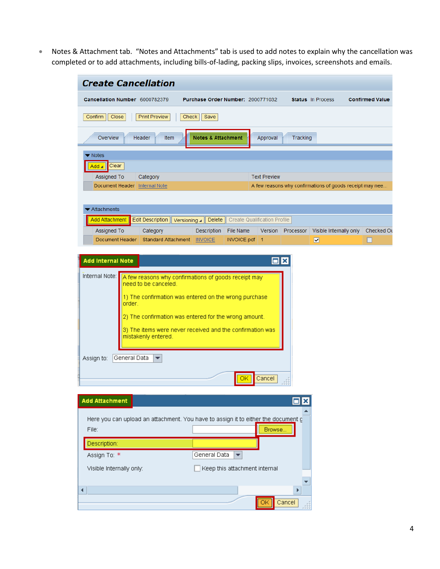• Notes & Attachment tab. "Notes and Attachments" tab is used to add notes to explain why the cancellation was completed or to add attachments, including bills-of-lading, packing slips, invoices, screenshots and emails.

| Cancellation Number 6000782379                                                                                                    | Purchase Order Number: 2000771032                                                                                                                                                                                                                |                                     |                   | <b>Status</b> In Process                                 | <b>Confirmed Value</b> |
|-----------------------------------------------------------------------------------------------------------------------------------|--------------------------------------------------------------------------------------------------------------------------------------------------------------------------------------------------------------------------------------------------|-------------------------------------|-------------------|----------------------------------------------------------|------------------------|
| Confirm<br>Close<br><b>Print Preview</b>                                                                                          | Check<br>Save                                                                                                                                                                                                                                    |                                     |                   |                                                          |                        |
| Overview<br><b>Header</b><br>Item                                                                                                 | <b>Notes &amp; Attachment</b>                                                                                                                                                                                                                    | Approval                            | Tracking          |                                                          |                        |
| Notes                                                                                                                             |                                                                                                                                                                                                                                                  |                                     |                   |                                                          |                        |
| Clear<br>Add                                                                                                                      |                                                                                                                                                                                                                                                  |                                     |                   |                                                          |                        |
| Assigned To<br>Category                                                                                                           |                                                                                                                                                                                                                                                  | <b>Text Preview</b>                 |                   |                                                          |                        |
| Document Header Internal Note                                                                                                     |                                                                                                                                                                                                                                                  |                                     |                   | A few reasons why confirmations of goods receipt may nee |                        |
| Attachments                                                                                                                       |                                                                                                                                                                                                                                                  |                                     |                   |                                                          |                        |
| Add Attachment<br><b>Edit Description</b>                                                                                         | <b>Delete</b><br>Versioning $\blacktriangle$                                                                                                                                                                                                     | <b>Create Qualification Profile</b> |                   |                                                          |                        |
| <b>Assigned To</b><br>Category                                                                                                    | Description<br>File Name                                                                                                                                                                                                                         |                                     | Version Processor | Visible Internally only                                  | Checked Ou             |
| Document Header                                                                                                                   | Standard Attachment   INVOICE<br>INVOICE.pdf 1                                                                                                                                                                                                   |                                     |                   | $\overline{\mathbf{v}}$                                  |                        |
| Internal Note:<br>need to be canceled.<br>order.<br>mistakenly entered.<br>General Data<br>Assign to:<br>$\overline{\phantom{a}}$ | A few reasons why confirmations of goods receipt may<br>1) The confirmation was entered on the wrong purchase<br>2) The confirmation was entered for the wrong amount.<br>3) The items were never received and the confirmation was<br><u>OK</u> | Cancel                              |                   |                                                          |                        |
| <b>Add Attachment</b>                                                                                                             |                                                                                                                                                                                                                                                  |                                     | $\Box$ x          |                                                          |                        |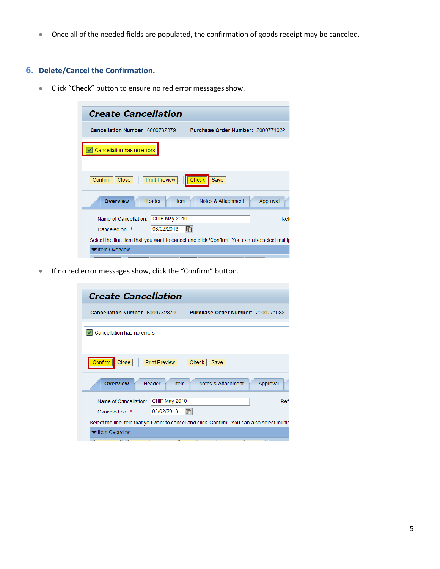• Once all of the needed fields are populated, the confirmation of goods receipt may be canceled.

## **6. Delete/Cancel the Confirmation.**

• Click "**Check**" button to ensure no red error messages show.

| <b>Create Cancellation</b>              |                             |                                                                                              |          |
|-----------------------------------------|-----------------------------|----------------------------------------------------------------------------------------------|----------|
| Cancellation Number 6000782379          |                             | Purchase Order Number: 2000771032                                                            |          |
| Cancellation has no errors              |                             |                                                                                              |          |
| Confirm<br>Close                        | <b>Print Preview</b>        | Save<br><b>Check</b>                                                                         |          |
| <b>Overview</b>                         | Header<br><b>Item</b>       | Notes & Attachment                                                                           | Approval |
| Name of Cancellation:<br>Canceled on: * | CHIP May 2010<br>08/02/2013 | $I_7$                                                                                        | Refi     |
|                                         |                             | Select the line item that you want to cancel and click 'Confirm'. You can also select multip |          |
| ltem Overview                           |                             |                                                                                              |          |

• If no red error messages show, click the "Confirm" button.

| <b>Create Cancellation</b>                                                                       |
|--------------------------------------------------------------------------------------------------|
| Cancellation Number 6000782379<br>Purchase Order Number: 2000771032                              |
| Cancellation has no errors                                                                       |
| Close<br><b>Print Preview</b><br>Confirm<br>Check<br>Save                                        |
| <b>Overview</b><br>Header<br>Ifem<br>Notes & Attachment<br>Approval                              |
| CHIP May 2010<br>Name of Cancellation:<br>Ref<br>67<br>08/02/2013<br>Canceled on: *              |
| Select the line item that you want to cancel and click 'Confirm'. You can also select multip     |
| ltem Overview<br>TП<br>$\overline{\phantom{0}}$<br>$\sqrt{2}$<br>1. . <del>. .</del><br>TГ<br>TГ |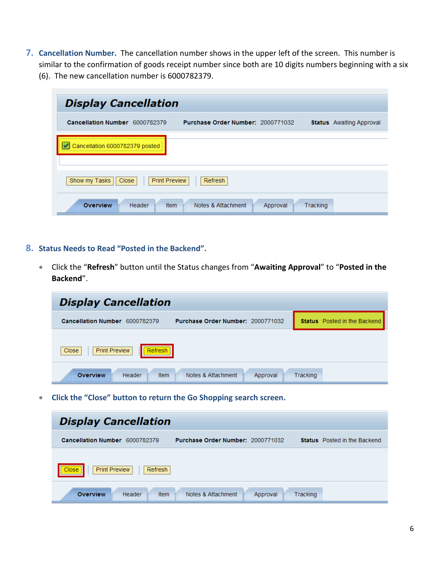- **7. Cancellation Number.** The cancellation number shows in the upper left of the screen. This number is similar to the confirmation of goods receipt number since both are 10 digits numbers beginning with a six
	- (6). The new cancellation number is 6000782379.

| <b>Display Cancellation</b>                    |                                   |                      |                                 |
|------------------------------------------------|-----------------------------------|----------------------|---------------------------------|
| Cancellation Number 6000782379                 | Purchase Order Number: 2000771032 |                      | <b>Status</b> Awaiting Approval |
| Cancellation 6000782379 posted                 |                                   |                      |                                 |
| Show my Tasks<br><b>Print Preview</b><br>Close | Refresh                           |                      |                                 |
| <b>Overview</b><br>Header                      | Notes & Attachment<br><b>Item</b> | Tracking<br>Approval |                                 |

- **8. Status Needs to Read "Posted in the Backend".** 
	- Click the "**Refresh**" button until the Status changes from "**Awaiting Approval**" to "**Posted in the Backend**".

| <b>Display Cancellation</b>                                         |                                     |
|---------------------------------------------------------------------|-------------------------------------|
| Purchase Order Number: 2000771032<br>Cancellation Number 6000782379 | <b>Status</b> Posted in the Backend |
| <b>Print Preview</b><br>Refresh<br>Close                            |                                     |
| <b>Overview</b><br>Notes & Attachment<br>Header<br>Item<br>Approval | Tracking                            |

• **Click the "Close" button to return the Go Shopping search screen.**

| <b>Display Cancellation</b>                     |                                   |                      |                                     |
|-------------------------------------------------|-----------------------------------|----------------------|-------------------------------------|
| Cancellation Number 6000782379                  | Purchase Order Number: 2000771032 |                      | <b>Status</b> Posted in the Backend |
| <b>Print Preview</b><br>Refresh<br><b>Close</b> |                                   |                      |                                     |
| Item<br><b>Overview</b><br>Header               | Notes & Attachment                | Tracking<br>Approval |                                     |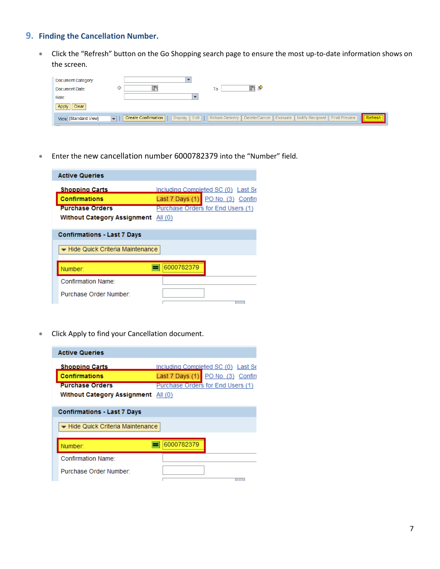## **9. Finding the Cancellation Number.**

• Click the "Refresh" button on the Go Shopping search page to ensure the most up-to-date information shows on the screen.

| Document Category:<br>Document Date:<br>Role:<br>Clear<br>Apply | To                                                                                                                                                                    |
|-----------------------------------------------------------------|-----------------------------------------------------------------------------------------------------------------------------------------------------------------------|
| View: [Standard View]                                           | Display    Edit       Return Delivery    Delete/Cancel    Evaluate    Notify Recipient    Print Preview<br>Create Confirmation<br>Refresh<br>$\overline{\phantom{a}}$ |

• Enter the new cancellation number 6000782379 into the "Number" field.

| <b>Active Queries</b>              |                                    |
|------------------------------------|------------------------------------|
| <b>Shopping Carts</b>              | Including Completed SC (0) Last Se |
| <b>Confirmations</b>               | Last 7 Days (1) PO No. (3) Confin  |
| <b>Purchase Orders</b>             | Purchase Orders for End Users (1)  |
| <b>Without Category Assignment</b> | All $(0)$                          |
|                                    |                                    |
| <b>Confirmations - Last 7 Days</b> |                                    |
| → Hide Quick Criteria Maintenance  |                                    |
|                                    |                                    |
| Number:                            | 6000782379                         |
| Confirmation Name:                 |                                    |
| Purchase Order Number:             |                                    |
|                                    |                                    |

• Click Apply to find your Cancellation document.

| <b>Active Queries</b>                                                   |                                    |
|-------------------------------------------------------------------------|------------------------------------|
| <b>Shopping Carts</b>                                                   | Including Completed SC (0) Last Se |
| <b>Confirmations</b>                                                    | Last 7 Days (1) PO No. (3) Confin  |
| <b>Purchase Orders</b>                                                  | Purchase Orders for End Users (1)  |
| <b>Without Category Assignment</b>                                      | All (0)                            |
| <b>Confirmations - Last 7 Days</b><br>- Hide Quick Criteria Maintenance |                                    |
| Number:                                                                 | 6000782379                         |
| Confirmation Name:                                                      |                                    |
| Purchase Order Number:                                                  |                                    |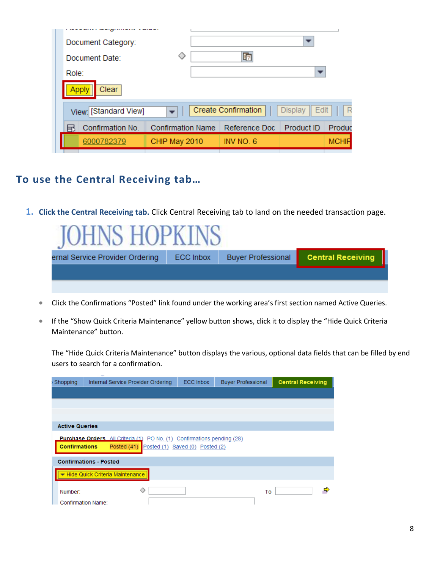| Document Category:<br>Document Date:<br>Role: |                          | 叼                          |                        |              |
|-----------------------------------------------|--------------------------|----------------------------|------------------------|--------------|
| Clear<br>oplv                                 |                          |                            |                        |              |
| View: [Standard View]                         |                          | <b>Create Confirmation</b> | <b>Display</b><br>Edit |              |
| Confirmation No.                              | <b>Confirmation Name</b> | Reference Doc              | Product ID             | Produc       |
| 6000782379                                    | CHIP May 2010            | INV NO. 6                  |                        | <b>MCHIF</b> |
|                                               |                          |                            |                        |              |

# **To use the Central Receiving tab…**

**1. Click the Central Receiving tab.** Click Central Receiving tab to land on the needed transaction page.

<span id="page-7-0"></span>

| $H$ $H$<br><b>INP</b>           |                  |                           |                          |
|---------------------------------|------------------|---------------------------|--------------------------|
| ernal Service Provider Ordering | <b>ECC Inbox</b> | <b>Buyer Professional</b> | <b>Central Receiving</b> |
|                                 |                  |                           |                          |
|                                 |                  |                           |                          |

- Click the Confirmations "Posted" link found under the working area's first section named Active Queries.
- If the "Show Quick Criteria Maintenance" yellow button shows, click it to display the "Hide Quick Criteria Maintenance" button.

The "Hide Quick Criteria Maintenance" button displays the various, optional data fields that can be filled by end users to search for a confirmation.

| Shopping                      | $\overline{\phantom{a}}$<br>Internal Service Provider Ordering                                    | <b>ECC Inbox</b>           | <b>Buyer Professional</b> | <b>Central Receiving</b> |
|-------------------------------|---------------------------------------------------------------------------------------------------|----------------------------|---------------------------|--------------------------|
|                               |                                                                                                   |                            |                           |                          |
|                               |                                                                                                   |                            |                           |                          |
|                               |                                                                                                   |                            |                           |                          |
| <b>Active Queries</b>         |                                                                                                   |                            |                           |                          |
| <b>Confirmations</b>          | <b>Purchase Orders</b> All Criteria (1) PO No. (1)<br>Posted (41) Posted (1) Saved (0) Posted (2) | Confirmations pending (28) |                           |                          |
|                               | <b>Confirmations - Posted</b>                                                                     |                            |                           |                          |
|                               | Hide Quick Criteria Maintenance                                                                   |                            |                           |                          |
| Number:<br>Confirmation Name: | ◇                                                                                                 |                            | To                        |                          |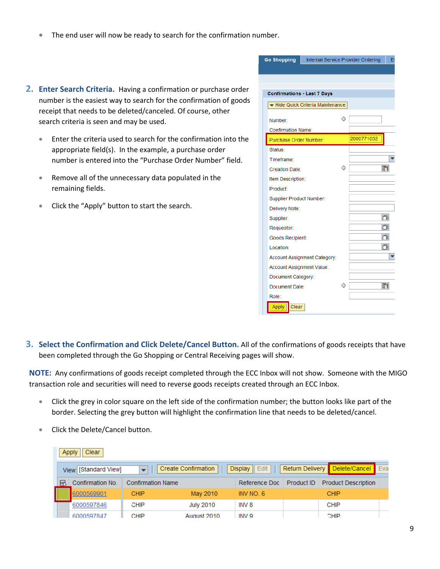- The end user will now be ready to search for the confirmation number.
- 2. Enter Search Criteria. Having a confirmation or purchase order number is the easiest way to search for the confirmation of goods receipt that needs to be deleted/canceled. Of course, other search criteria is seen and may be used.
	- Enter the criteria used to search for the confirmation into the appropriate field(s). In the example, a purchase order number is entered into the "Purchase Order Number" field.
	- Remove all of the unnecessary data populated in the remaining fields.
	- Click the "Apply" button to start the search.

| <b>Go Shopping</b>                 |                                   |   | Internal Service Provider Ordering | E         |
|------------------------------------|-----------------------------------|---|------------------------------------|-----------|
|                                    |                                   |   |                                    |           |
|                                    |                                   |   |                                    |           |
| <b>Confirmations - Last 7 Days</b> |                                   |   |                                    |           |
|                                    |                                   |   |                                    |           |
|                                    | - Hide Quick Criteria Maintenance |   |                                    |           |
| Number:                            |                                   |   |                                    |           |
| <b>Confirmation Name:</b>          |                                   |   |                                    |           |
| Purchase Order Number:             |                                   |   | 2000771032                         |           |
| Status:                            |                                   |   |                                    |           |
| Timeframe:                         |                                   |   |                                    |           |
| Creation Date:                     |                                   | ◇ |                                    | 雨         |
| Item Description:                  |                                   |   |                                    |           |
| Product:                           |                                   |   |                                    |           |
| Supplier Product Number:           |                                   |   |                                    |           |
| Delivery Note:                     |                                   |   |                                    |           |
| Supplier:                          |                                   |   |                                    | 门         |
| Requestor:                         |                                   |   |                                    | ΟI        |
| Goods Recipient:                   |                                   |   |                                    | 向         |
| Location:                          |                                   |   |                                    | <b>DI</b> |
|                                    | Account Assignment Category:      |   |                                    |           |
| Account Assignment Value:          |                                   |   |                                    |           |
| Document Category:                 |                                   |   |                                    |           |
| Document Date:                     |                                   | ◇ |                                    | 雨         |
| Role:                              |                                   |   |                                    |           |
| <b>Apply</b><br>Clear              |                                   |   |                                    |           |

**3. Select the Confirmation and Click Delete/Cancel Button.** All of the confirmations of goods receipts that have been completed through the Go Shopping or Central Receiving pages will show.

**NOTE:** Any confirmations of goods receipt completed through the ECC Inbox will not show. Someone with the MIGO transaction role and securities will need to reverse goods receipts created through an ECC Inbox.

- Click the grey in color square on the left side of the confirmation number; the button looks like part of the border. Selecting the grey button will highlight the confirmation line that needs to be deleted/cancel.
- Click the Delete/Cancel button.

|   | Clear<br>Apply |                       |                          |                            |                             |                 |                            |     |
|---|----------------|-----------------------|--------------------------|----------------------------|-----------------------------|-----------------|----------------------------|-----|
|   |                | View: [Standard View] | $\overline{\phantom{a}}$ | <b>Create Confirmation</b> | <b>Display</b><br>$  $ Edit | Return Delivery | Delete/Cancel              | Eva |
| ы |                | Confirmation No.      | <b>Confirmation Name</b> |                            | Reference Doc               | Product ID      | <b>Product Description</b> |     |
|   |                | 6000569901            | <b>CHIP</b>              | May 2010                   | INV NO. 6                   |                 | <b>CHIP</b>                |     |
|   |                | 6000597846            | CHIP                     | <b>July 2010</b>           | INV 8                       |                 | <b>CHIP</b>                |     |
|   |                | 6000597847            | CHIP                     | August 2010                | INV 9                       |                 | CHIP.                      |     |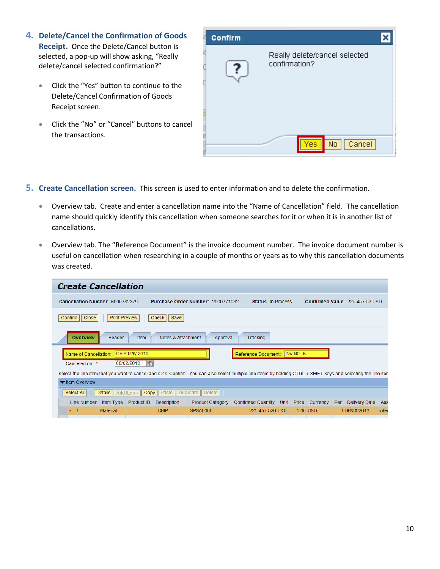- **4. Delete/Cancel the Confirmation of Goods Receipt.** Once the Delete/Cancel button is selected, a pop-up will show asking, "Really delete/cancel selected confirmation?"
	- Click the "Yes" button to continue to the Delete/Cancel Confirmation of Goods Receipt screen.
	- Click the "No" or "Cancel" buttons to cancel the transactions.



#### **5. Create Cancellation screen.** This screen is used to enter information and to delete the confirmation.

- Overview tab. Create and enter a cancellation name into the "Name of Cancellation" field. The cancellation name should quickly identify this cancellation when someone searches for it or when it is in another list of cancellations.
- Overview tab. The "Reference Document" is the invoice document number. The invoice document number is useful on cancellation when researching in a couple of months or years as to why this cancellation documents was created.

| <b>Create Cancellation</b>                                                                                                                                         |                                  |                    |                                   |                          |           |                |                                |       |
|--------------------------------------------------------------------------------------------------------------------------------------------------------------------|----------------------------------|--------------------|-----------------------------------|--------------------------|-----------|----------------|--------------------------------|-------|
| Cancellation Number 6000782379                                                                                                                                     |                                  |                    | Purchase Order Number: 2000771032 | <b>Status</b> In Process |           |                | Confirmed Value 225,457.52 USD |       |
| <b>Print Preview</b><br>Confirm<br>Close<br>Check<br>Save                                                                                                          |                                  |                    |                                   |                          |           |                |                                |       |
| <b>Overview</b>                                                                                                                                                    | <b>Item</b><br>Header            | Notes & Attachment | Approval                          | Tracking                 |           |                |                                |       |
| Name of Cancellation:                                                                                                                                              | CHIP May 2010                    |                    |                                   | Reference Document:      | INV NO. 6 |                |                                |       |
| Canceled on: *                                                                                                                                                     | $F_{\overline{2}}$<br>08/02/2013 |                    |                                   |                          |           |                |                                |       |
| Select the line item that you want to cancel and click 'Confirm'. You can also select multiple line items by holding CTRL + SHIFT keys and selecting the line iten |                                  |                    |                                   |                          |           |                |                                |       |
| ▼ Item Overview                                                                                                                                                    |                                  |                    |                                   |                          |           |                |                                |       |
| <b>Details</b><br>Select All                                                                                                                                       | Add Item 4                       | Copy    Paste      | Duplicate   Delete                |                          |           |                |                                |       |
| Line Number                                                                                                                                                        | Product ID<br>Item Type          | <b>Description</b> | <b>Product Category</b>           | Confirmed Quantity       | Unit      | Price Currency | <b>Delivery Date</b><br>Per    | Ass   |
| Material<br>$\vert$ 1                                                                                                                                              |                                  | <b>CHIP</b>        | <b>SPSA0000</b>                   | 225.457.520 DOL          |           | $1.00$ USD     | 1 06/30/2013                   | Inter |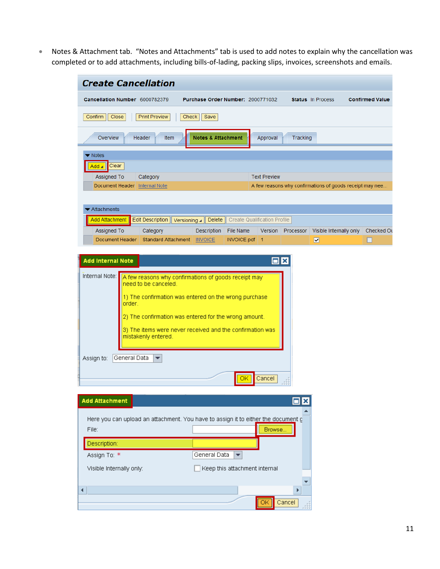• Notes & Attachment tab. "Notes and Attachments" tab is used to add notes to explain why the cancellation was completed or to add attachments, including bills-of-lading, packing slips, invoices, screenshots and emails.

| Cancellation Number 6000782379                                                                                                    | Purchase Order Number: 2000771032                                                                                                                                                                                                                |                                     |                   | <b>Status</b> In Process                                 | <b>Confirmed Value</b> |
|-----------------------------------------------------------------------------------------------------------------------------------|--------------------------------------------------------------------------------------------------------------------------------------------------------------------------------------------------------------------------------------------------|-------------------------------------|-------------------|----------------------------------------------------------|------------------------|
| Confirm<br>Close<br><b>Print Preview</b>                                                                                          | Check<br>Save                                                                                                                                                                                                                                    |                                     |                   |                                                          |                        |
| Overview<br><b>Header</b><br>Item                                                                                                 | <b>Notes &amp; Attachment</b>                                                                                                                                                                                                                    | Approval                            | Tracking          |                                                          |                        |
| Notes                                                                                                                             |                                                                                                                                                                                                                                                  |                                     |                   |                                                          |                        |
| Clear<br>Add                                                                                                                      |                                                                                                                                                                                                                                                  |                                     |                   |                                                          |                        |
| Assigned To<br>Category                                                                                                           |                                                                                                                                                                                                                                                  | <b>Text Preview</b>                 |                   |                                                          |                        |
| Document Header Internal Note                                                                                                     |                                                                                                                                                                                                                                                  |                                     |                   | A few reasons why confirmations of goods receipt may nee |                        |
| Attachments                                                                                                                       |                                                                                                                                                                                                                                                  |                                     |                   |                                                          |                        |
| Add Attachment<br><b>Edit Description</b>                                                                                         | <b>Delete</b><br>Versioning $\blacktriangle$                                                                                                                                                                                                     | <b>Create Qualification Profile</b> |                   |                                                          |                        |
| <b>Assigned To</b><br>Category                                                                                                    | Description<br>File Name                                                                                                                                                                                                                         |                                     | Version Processor | Visible Internally only                                  | Checked Ou             |
| Document Header                                                                                                                   | Standard Attachment   INVOICE<br>INVOICE.pdf 1                                                                                                                                                                                                   |                                     |                   | $\overline{\mathbf{v}}$                                  |                        |
| Internal Note:<br>need to be canceled.<br>order.<br>mistakenly entered.<br>General Data<br>Assign to:<br>$\overline{\phantom{a}}$ | A few reasons why confirmations of goods receipt may<br>1) The confirmation was entered on the wrong purchase<br>2) The confirmation was entered for the wrong amount.<br>3) The items were never received and the confirmation was<br><u>OK</u> | Cancel                              |                   |                                                          |                        |
| <b>Add Attachment</b>                                                                                                             |                                                                                                                                                                                                                                                  |                                     | $\Box$ x          |                                                          |                        |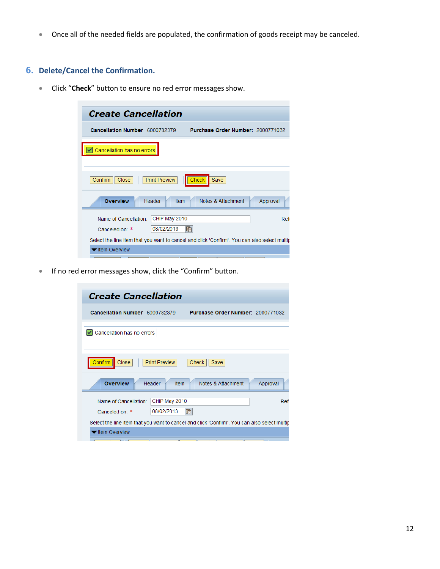• Once all of the needed fields are populated, the confirmation of goods receipt may be canceled.

## **6. Delete/Cancel the Confirmation.**

• Click "**Check**" button to ensure no red error messages show.

| <b>Create Cancellation</b>                                                                   |                       |                                   |          |
|----------------------------------------------------------------------------------------------|-----------------------|-----------------------------------|----------|
| Cancellation Number 6000782379                                                               |                       | Purchase Order Number: 2000771032 |          |
| Cancellation has no errors                                                                   |                       |                                   |          |
| Confirm<br>Close                                                                             | <b>Print Preview</b>  | <b>Check</b><br>Save              |          |
| <b>Overview</b>                                                                              | Header<br><b>Item</b> | Notes & Attachment                | Approval |
| Name of Cancellation:                                                                        | CHIP May 2010         |                                   | Refi     |
| Canceled on: *                                                                               | 08/02/2013            | $\mathbb{F}$                      |          |
| Select the line item that you want to cancel and click 'Confirm'. You can also select multip |                       |                                   |          |
| ▼ Item Overview                                                                              |                       |                                   |          |

• If no red error messages show, click the "Confirm" button.

| <b>Create Cancellation</b>                                                                   |          |
|----------------------------------------------------------------------------------------------|----------|
| Cancellation Number 6000782379<br>Purchase Order Number: 2000771032                          |          |
| Cancellation has no errors                                                                   |          |
| Close<br>Confirm<br><b>Print Preview</b><br>Check  <br>Save                                  |          |
| <b>Overview</b><br>Header<br>Notes & Attachment<br>Ifem                                      | Approval |
| CHIP May 2010<br>Name of Cancellation:<br>08/02/2013<br>F <sub>2</sub><br>Canceled on: *     | Ref      |
| Select the line item that you want to cancel and click 'Confirm'. You can also select multip |          |
| Item Overview                                                                                |          |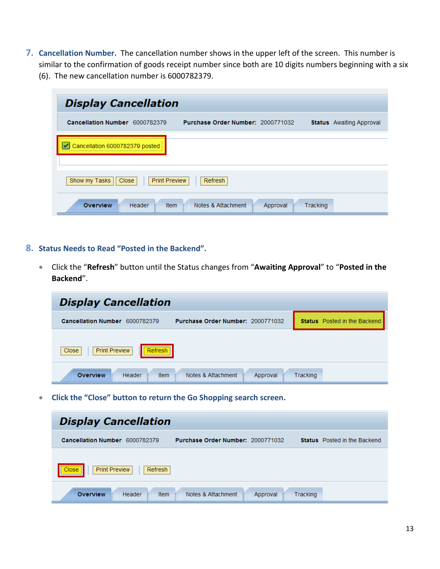- **7. Cancellation Number.** The cancellation number shows in the upper left of the screen. This number is similar to the confirmation of goods receipt number since both are 10 digits numbers beginning with a six
	- (6). The new cancellation number is 6000782379.

| <b>Display Cancellation</b>                    |                                   |                      |                                 |
|------------------------------------------------|-----------------------------------|----------------------|---------------------------------|
| Cancellation Number 6000782379                 | Purchase Order Number: 2000771032 |                      | <b>Status</b> Awaiting Approval |
| Cancellation 6000782379 posted                 |                                   |                      |                                 |
| Show my Tasks<br><b>Print Preview</b><br>Close | Refresh                           |                      |                                 |
| <b>Overview</b><br>Header                      | Notes & Attachment<br><b>Item</b> | Tracking<br>Approval |                                 |

- **8. Status Needs to Read "Posted in the Backend".** 
	- Click the "**Refresh**" button until the Status changes from "**Awaiting Approval**" to "**Posted in the Backend**".

| <b>Display Cancellation</b>                                         |                                     |
|---------------------------------------------------------------------|-------------------------------------|
| Purchase Order Number: 2000771032<br>Cancellation Number 6000782379 | <b>Status</b> Posted in the Backend |
| <b>Print Preview</b><br>Refresh<br>Close<br>Н                       |                                     |
| <b>Overview</b><br>Notes & Attachment<br>Header<br>Item<br>Approval | Tracking                            |

• **Click the "Close" button to return the Go Shopping search screen.**

| <b>Display Cancellation</b>              |                                   |                      |                                     |  |  |  |  |
|------------------------------------------|-----------------------------------|----------------------|-------------------------------------|--|--|--|--|
| Cancellation Number 6000782379           | Purchase Order Number: 2000771032 |                      | <b>Status</b> Posted in the Backend |  |  |  |  |
| <b>Print Preview</b><br>Close<br>Refresh |                                   |                      |                                     |  |  |  |  |
| <b>Overview</b><br>Item<br>Header        | Notes & Attachment                | Tracking<br>Approval |                                     |  |  |  |  |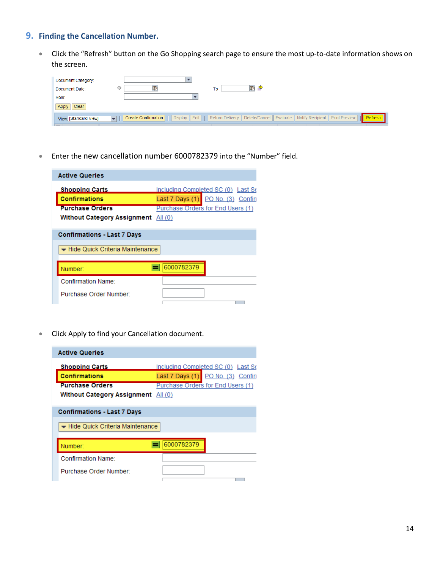## **9. Finding the Cancellation Number.**

• Click the "Refresh" button on the Go Shopping search page to ensure the most up-to-date information shows on the screen.

| Document Category:<br>Document Date:<br>Role:<br>Clear<br>Apply | To                                                                                                                                                                    |
|-----------------------------------------------------------------|-----------------------------------------------------------------------------------------------------------------------------------------------------------------------|
| View: [Standard View]                                           | Display    Edit       Return Delivery    Delete/Cancel    Evaluate    Notify Recipient    Print Preview<br>Create Confirmation<br>Refresh<br>$\overline{\phantom{a}}$ |

• Enter the new cancellation number 6000782379 into the "Number" field.

| <b>Active Queries</b>              |                                    |  |  |  |
|------------------------------------|------------------------------------|--|--|--|
| <b>Shopping Carts</b>              | Including Completed SC (0) Last Se |  |  |  |
| <b>Confirmations</b>               | Last 7 Days (1) PO No. (3) Confin  |  |  |  |
| <b>Purchase Orders</b>             | Purchase Orders for End Users (1)  |  |  |  |
| <b>Without Category Assignment</b> | All (0)                            |  |  |  |
|                                    |                                    |  |  |  |
| <b>Confirmations - Last 7 Days</b> |                                    |  |  |  |
| ▼ Hide Quick Criteria Maintenance  |                                    |  |  |  |
|                                    |                                    |  |  |  |
| Confirmation Name:                 |                                    |  |  |  |
| Purchase Order Number:             |                                    |  |  |  |
|                                    |                                    |  |  |  |

• Click Apply to find your Cancellation document.

| <b>Active Queries</b>              |                                    |  |  |  |  |
|------------------------------------|------------------------------------|--|--|--|--|
| <b>Shopping Carts</b>              | Including Completed SC (0) Last Se |  |  |  |  |
| <b>Confirmations</b>               | Last 7 Days (1) PO No. (3) Confin  |  |  |  |  |
| <b>Purchase Orders</b>             | Purchase Orders for End Users (1)  |  |  |  |  |
| <b>Without Category Assignment</b> | All $(0)$                          |  |  |  |  |
| <b>Confirmations - Last 7 Days</b> |                                    |  |  |  |  |
| ▼ Hide Quick Criteria Maintenance  |                                    |  |  |  |  |
| Number:                            | 6000782379                         |  |  |  |  |
| Confirmation Name:                 |                                    |  |  |  |  |
| Purchase Order Number:             |                                    |  |  |  |  |